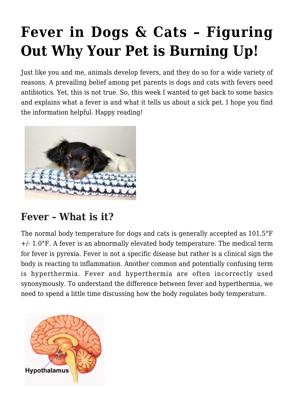# **[Fever in Dogs & Cats – Figuring](https://criticalcaredvm.com/fever-dogs-cats/) [Out Why Your Pet is Burning Up!](https://criticalcaredvm.com/fever-dogs-cats/)**

Just like you and me, animals develop fevers, and they do so for a wide variety of reasons. A prevailing belief among pet parents is dogs and cats with fevers need antibiotics. Yet, this is not true. So, this week I wanted to get back to some basics and explains what a fever is and what it tells us about a sick pet. I hope you find the information helpful. Happy reading!



## **Fever – What is it?**

The normal body temperature for dogs and cats is generally accepted as 101.5°F +/- 1.0°F. A fever is an abnormally elevated body temperature. The medical term for fever is pyrexia. Fever is not a specific disease but rather is a clinical sign the body is reacting to inflammation. Another common and potentially confusing term is hyperthermia. Fever and hyperthermia are often incorrectly used synonymously. To understand the difference between fever and hyperthermia, we need to spend a little time discussing how the body regulates body temperature.

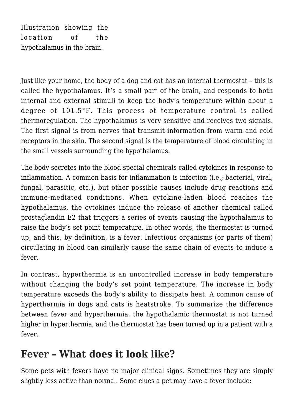Illustration showing the location of the hypothalamus in the brain.

Just like your home, the body of a dog and cat has an internal thermostat – this is called the hypothalamus. It's a small part of the brain, and responds to both internal and external stimuli to keep the body's temperature within about a degree of 101.5°F. This process of temperature control is called thermoregulation. The hypothalamus is very sensitive and receives two signals. The first signal is from nerves that transmit information from warm and cold receptors in the skin. The second signal is the temperature of blood circulating in the small vessels surrounding the hypothalamus.

The body secretes into the blood special chemicals called cytokines in response to inflammation. A common basis for inflammation is infection (i.e.; bacterial, viral, fungal, parasitic, etc.), but other possible causes include drug reactions and immune-mediated conditions. When cytokine-laden blood reaches the hypothalamus, the cytokines induce the release of another chemical called prostaglandin E2 that triggers a series of events causing the hypothalamus to raise the body's set point temperature. In other words, the thermostat is turned up, and this, by definition, is a fever. Infectious organisms (or parts of them) circulating in blood can similarly cause the same chain of events to induce a fever.

In contrast, hyperthermia is an uncontrolled increase in body temperature without changing the body's set point temperature. The increase in body temperature exceeds the body's ability to dissipate heat. A common cause of hyperthermia in dogs and cats is heatstroke. To summarize the difference between fever and hyperthermia, the hypothalamic thermostat is not turned higher in hyperthermia, and the thermostat has been turned up in a patient with a fever.

## **Fever – What does it look like?**

Some pets with fevers have no major clinical signs. Sometimes they are simply slightly less active than normal. Some clues a pet may have a fever include: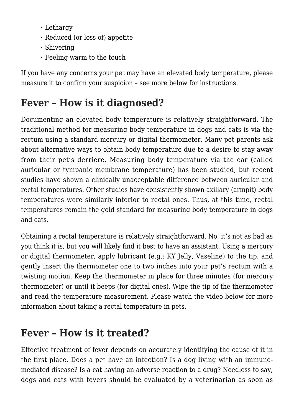- Lethargy
- Reduced (or loss of) appetite
- Shivering
- Feeling warm to the touch

If you have any concerns your pet may have an elevated body temperature, please measure it to confirm your suspicion – see more below for instructions.

## **Fever – How is it diagnosed?**

Documenting an elevated body temperature is relatively straightforward. The traditional method for measuring body temperature in dogs and cats is via the rectum using a standard mercury or digital thermometer. Many pet parents ask about alternative ways to obtain body temperature due to a desire to stay away from their pet's derriere. Measuring body temperature via the ear (called auricular or tympanic membrane temperature) has been studied, but recent studies have shown a clinically unacceptable difference between auricular and rectal temperatures. Other studies have consistently shown axillary (armpit) body temperatures were similarly inferior to rectal ones. Thus, at this time, rectal temperatures remain the gold standard for measuring body temperature in dogs and cats.

Obtaining a rectal temperature is relatively straightforward. No, it's not as bad as you think it is, but you will likely find it best to have an assistant. Using a mercury or digital thermometer, apply lubricant (e.g.: KY Jelly, Vaseline) to the tip, and gently insert the thermometer one to two inches into your pet's rectum with a twisting motion. Keep the thermometer in place for three minutes (for mercury thermometer) or until it beeps (for digital ones). Wipe the tip of the thermometer and read the temperature measurement. Please watch the video below for more information about taking a rectal temperature in pets.

## **Fever – How is it treated?**

Effective treatment of fever depends on accurately identifying the cause of it in the first place. Does a pet have an infection? Is a dog living with an immunemediated disease? Is a cat having an adverse reaction to a drug? Needless to say, dogs and cats with fevers should be evaluated by a veterinarian as soon as